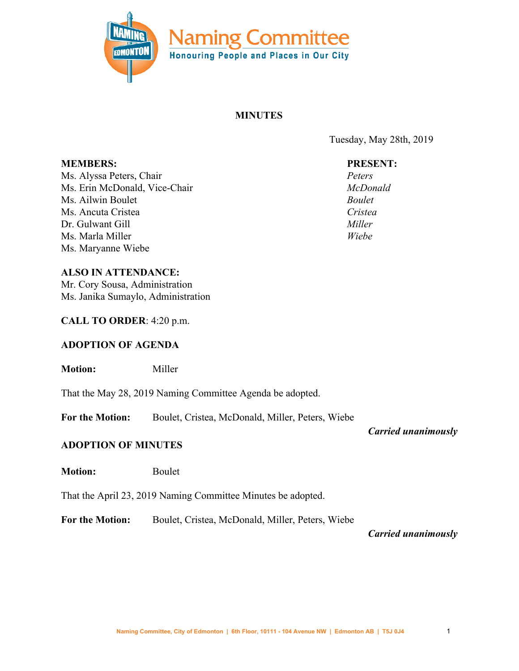

# **MINUTES**

Tuesday, May 28th, 2019

## **PRESENT:**

*Peters McDonald Boulet Cristea Miller Wiebe*

**MEMBERS:** Ms. Alyssa Peters, Chair Ms. Erin McDonald, Vice-Chair Ms. Ailwin Boulet Ms. Ancuta Cristea Dr. Gulwant Gill Ms. Marla Miller Ms. Maryanne Wiebe

### **ALSO IN ATTENDANCE:**

Mr. Cory Sousa, Administration Ms. Janika Sumaylo, Administration

### **CALL TO ORDER**: 4:20 p.m.

## **ADOPTION OF AGENDA**

**Motion:** Miller

That the May 28, 2019 Naming Committee Agenda be adopted.

**For the Motion:** Boulet, Cristea, McDonald, Miller, Peters, Wiebe

*Carried unanimously*

## **ADOPTION OF MINUTES**

**Motion:** Boulet

That the April 23, 2019 Naming Committee Minutes be adopted.

**For the Motion:** Boulet, Cristea, McDonald, Miller, Peters, Wiebe

*Carried unanimously*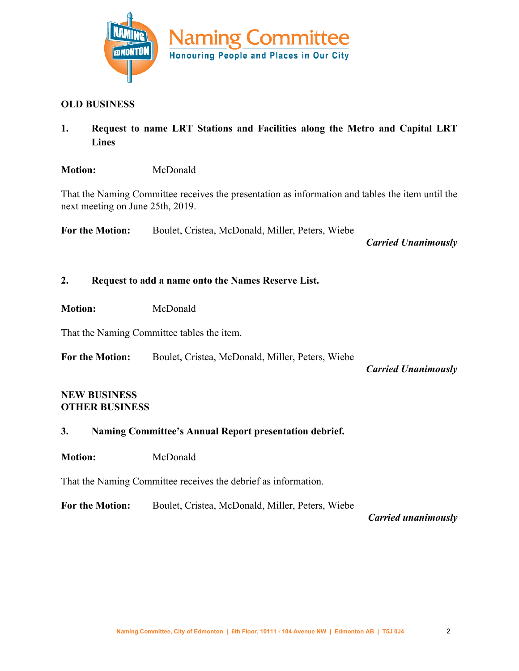

#### **OLD BUSINESS**

**1. Request to name LRT Stations and Facilities along the Metro and Capital LRT Lines**

### **Motion:** McDonald

That the Naming Committee receives the presentation as information and tables the item until the next meeting on June 25th, 2019.

**For the Motion:** Boulet, Cristea, McDonald, Miller, Peters, Wiebe

*Carried Unanimously*

### **2. Request to add a name onto the Names Reserve List.**

**Motion:** McDonald

That the Naming Committee tables the item.

**For the Motion:** Boulet, Cristea, McDonald, Miller, Peters, Wiebe

*Carried Unanimously*

#### **NEW BUSINESS OTHER BUSINESS**

## **3. Naming Committee's Annual Report presentation debrief.**

**Motion:** McDonald

That the Naming Committee receives the debrief as information.

**For the Motion:** Boulet, Cristea, McDonald, Miller, Peters, Wiebe

*Carried unanimously*